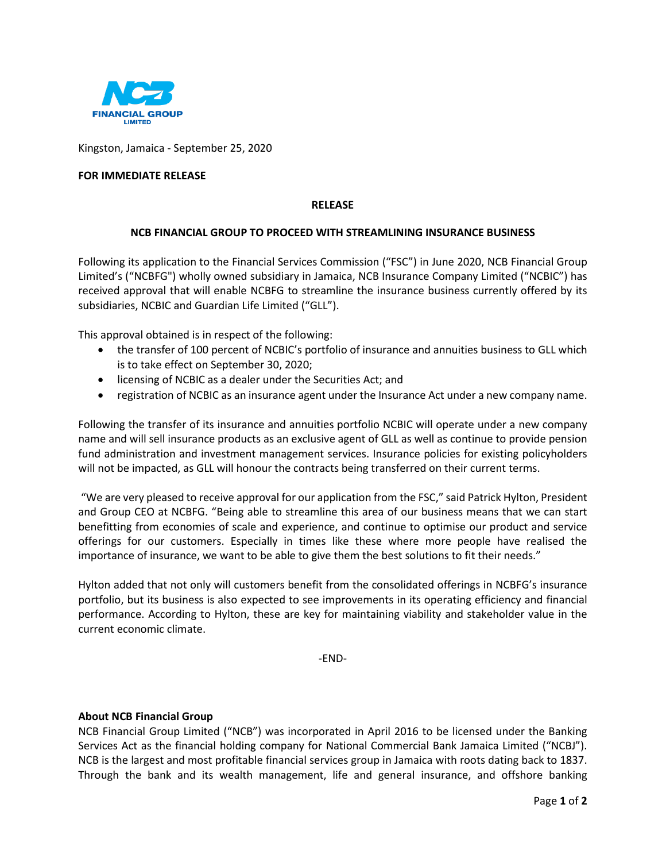

Kingston, Jamaica - September 25, 2020

## **FOR IMMEDIATE RELEASE**

#### **RELEASE**

### **NCB FINANCIAL GROUP TO PROCEED WITH STREAMLINING INSURANCE BUSINESS**

Following its application to the Financial Services Commission ("FSC") in June 2020, NCB Financial Group Limited's ("NCBFG") wholly owned subsidiary in Jamaica, NCB Insurance Company Limited ("NCBIC") has received approval that will enable NCBFG to streamline the insurance business currently offered by its subsidiaries, NCBIC and Guardian Life Limited ("GLL").

This approval obtained is in respect of the following:

- the transfer of 100 percent of NCBIC's portfolio of insurance and annuities business to GLL which is to take effect on September 30, 2020;
- licensing of NCBIC as a dealer under the Securities Act; and
- registration of NCBIC as an insurance agent under the Insurance Act under a new company name.

Following the transfer of its insurance and annuities portfolio NCBIC will operate under a new company name and will sell insurance products as an exclusive agent of GLL as well as continue to provide pension fund administration and investment management services. Insurance policies for existing policyholders will not be impacted, as GLL will honour the contracts being transferred on their current terms.

"We are very pleased to receive approval for our application from the FSC," said Patrick Hylton, President and Group CEO at NCBFG. "Being able to streamline this area of our business means that we can start benefitting from economies of scale and experience, and continue to optimise our product and service offerings for our customers. Especially in times like these where more people have realised the importance of insurance, we want to be able to give them the best solutions to fit their needs."

Hylton added that not only will customers benefit from the consolidated offerings in NCBFG's insurance portfolio, but its business is also expected to see improvements in its operating efficiency and financial performance. According to Hylton, these are key for maintaining viability and stakeholder value in the current economic climate.

-END-

#### **About NCB Financial Group**

NCB Financial Group Limited ("NCB") was incorporated in April 2016 to be licensed under the Banking Services Act as the financial holding company for National Commercial Bank Jamaica Limited ("NCBJ"). NCB is the largest and most profitable financial services group in Jamaica with roots dating back to 1837. Through the bank and its wealth management, life and general insurance, and offshore banking